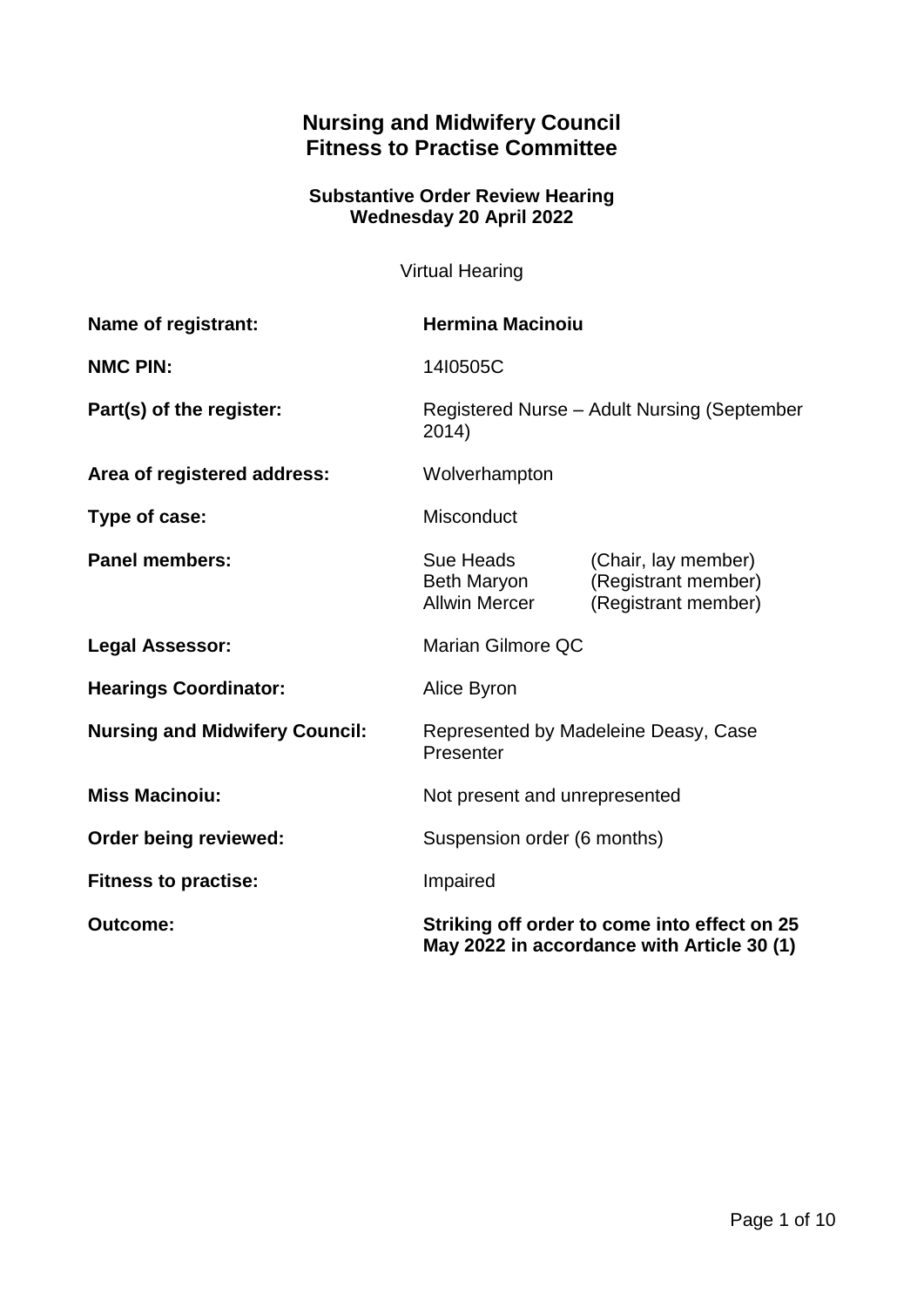# **Nursing and Midwifery Council Fitness to Practise Committee**

## **Substantive Order Review Hearing Wednesday 20 April 2022**

Virtual Hearing

| Name of registrant:                   | <b>Hermina Macinoiu</b>                                                                    |                                                                   |
|---------------------------------------|--------------------------------------------------------------------------------------------|-------------------------------------------------------------------|
| <b>NMC PIN:</b>                       | 14I0505C                                                                                   |                                                                   |
| Part(s) of the register:              | Registered Nurse - Adult Nursing (September<br>2014)                                       |                                                                   |
| Area of registered address:           | Wolverhampton                                                                              |                                                                   |
| Type of case:                         | Misconduct                                                                                 |                                                                   |
| <b>Panel members:</b>                 | Sue Heads<br>Beth Maryon<br><b>Allwin Mercer</b>                                           | (Chair, lay member)<br>(Registrant member)<br>(Registrant member) |
| <b>Legal Assessor:</b>                | Marian Gilmore QC                                                                          |                                                                   |
| <b>Hearings Coordinator:</b>          | Alice Byron                                                                                |                                                                   |
| <b>Nursing and Midwifery Council:</b> | Represented by Madeleine Deasy, Case<br>Presenter                                          |                                                                   |
| <b>Miss Macinoiu:</b>                 | Not present and unrepresented                                                              |                                                                   |
| Order being reviewed:                 | Suspension order (6 months)                                                                |                                                                   |
| <b>Fitness to practise:</b>           | Impaired                                                                                   |                                                                   |
| <b>Outcome:</b>                       | Striking off order to come into effect on 25<br>May 2022 in accordance with Article 30 (1) |                                                                   |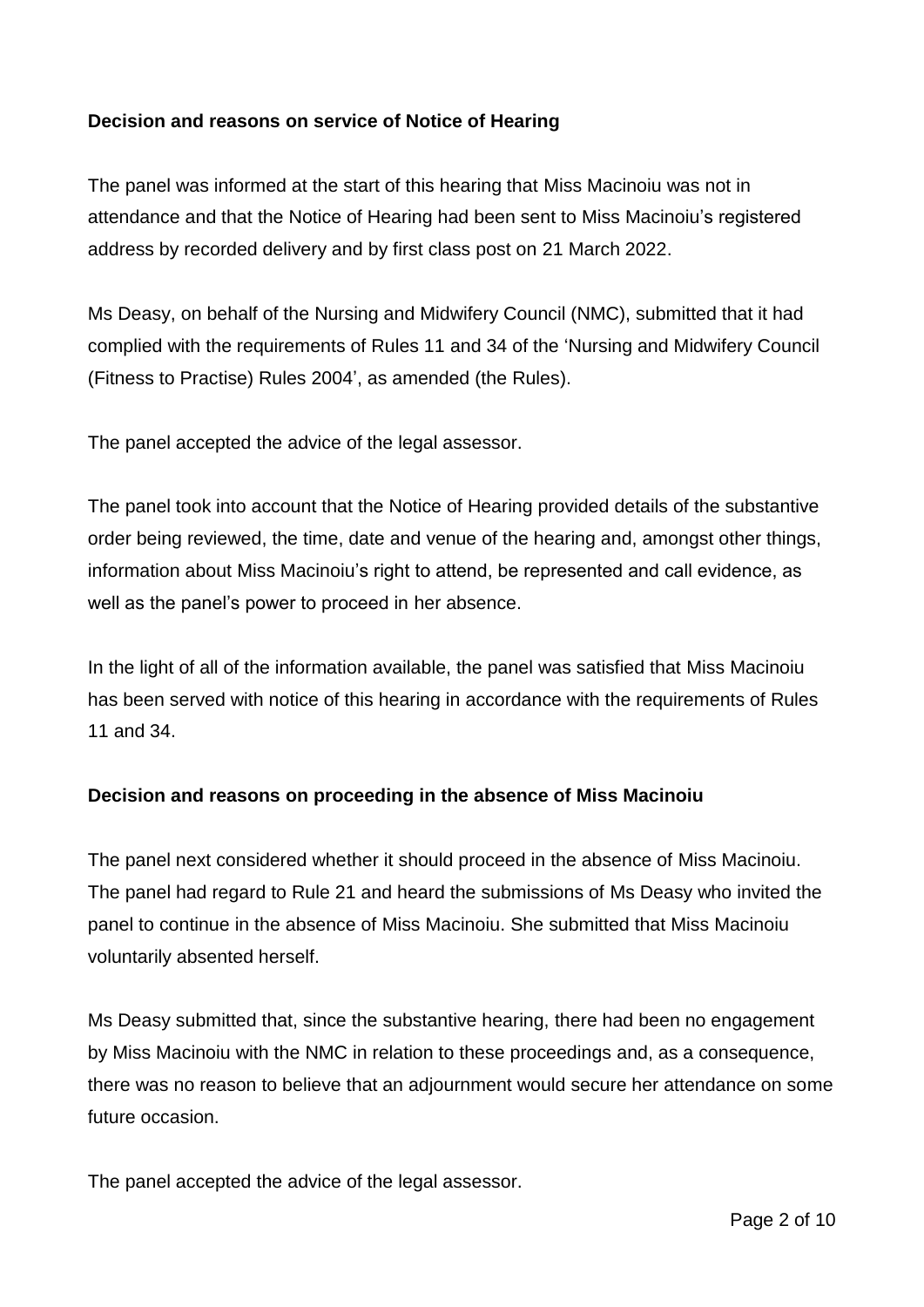## **Decision and reasons on service of Notice of Hearing**

The panel was informed at the start of this hearing that Miss Macinoiu was not in attendance and that the Notice of Hearing had been sent to Miss Macinoiu's registered address by recorded delivery and by first class post on 21 March 2022.

Ms Deasy, on behalf of the Nursing and Midwifery Council (NMC), submitted that it had complied with the requirements of Rules 11 and 34 of the 'Nursing and Midwifery Council (Fitness to Practise) Rules 2004', as amended (the Rules).

The panel accepted the advice of the legal assessor.

The panel took into account that the Notice of Hearing provided details of the substantive order being reviewed, the time, date and venue of the hearing and, amongst other things, information about Miss Macinoiu's right to attend, be represented and call evidence, as well as the panel's power to proceed in her absence.

In the light of all of the information available, the panel was satisfied that Miss Macinoiu has been served with notice of this hearing in accordance with the requirements of Rules 11 and 34.

## **Decision and reasons on proceeding in the absence of Miss Macinoiu**

The panel next considered whether it should proceed in the absence of Miss Macinoiu. The panel had regard to Rule 21 and heard the submissions of Ms Deasy who invited the panel to continue in the absence of Miss Macinoiu. She submitted that Miss Macinoiu voluntarily absented herself.

Ms Deasy submitted that, since the substantive hearing, there had been no engagement by Miss Macinoiu with the NMC in relation to these proceedings and, as a consequence, there was no reason to believe that an adjournment would secure her attendance on some future occasion.

The panel accepted the advice of the legal assessor.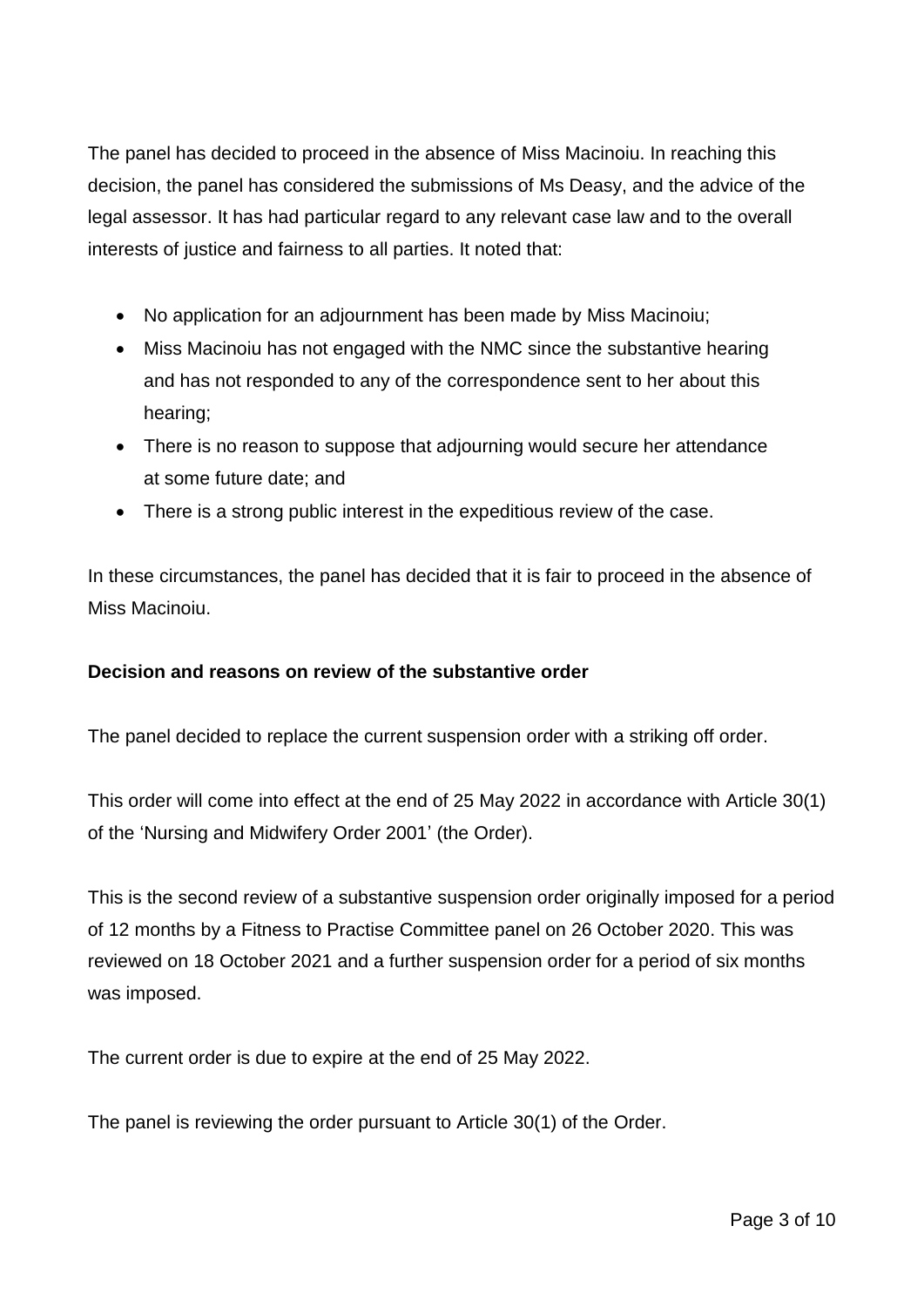The panel has decided to proceed in the absence of Miss Macinoiu. In reaching this decision, the panel has considered the submissions of Ms Deasy, and the advice of the legal assessor. It has had particular regard to any relevant case law and to the overall interests of justice and fairness to all parties. It noted that:

- No application for an adjournment has been made by Miss Macinoiu;
- Miss Macinoiu has not engaged with the NMC since the substantive hearing and has not responded to any of the correspondence sent to her about this hearing;
- There is no reason to suppose that adjourning would secure her attendance at some future date; and
- There is a strong public interest in the expeditious review of the case.

In these circumstances, the panel has decided that it is fair to proceed in the absence of Miss Macinoiu.

# **Decision and reasons on review of the substantive order**

The panel decided to replace the current suspension order with a striking off order.

This order will come into effect at the end of 25 May 2022 in accordance with Article 30(1) of the 'Nursing and Midwifery Order 2001' (the Order).

This is the second review of a substantive suspension order originally imposed for a period of 12 months by a Fitness to Practise Committee panel on 26 October 2020. This was reviewed on 18 October 2021 and a further suspension order for a period of six months was imposed.

The current order is due to expire at the end of 25 May 2022.

The panel is reviewing the order pursuant to Article 30(1) of the Order.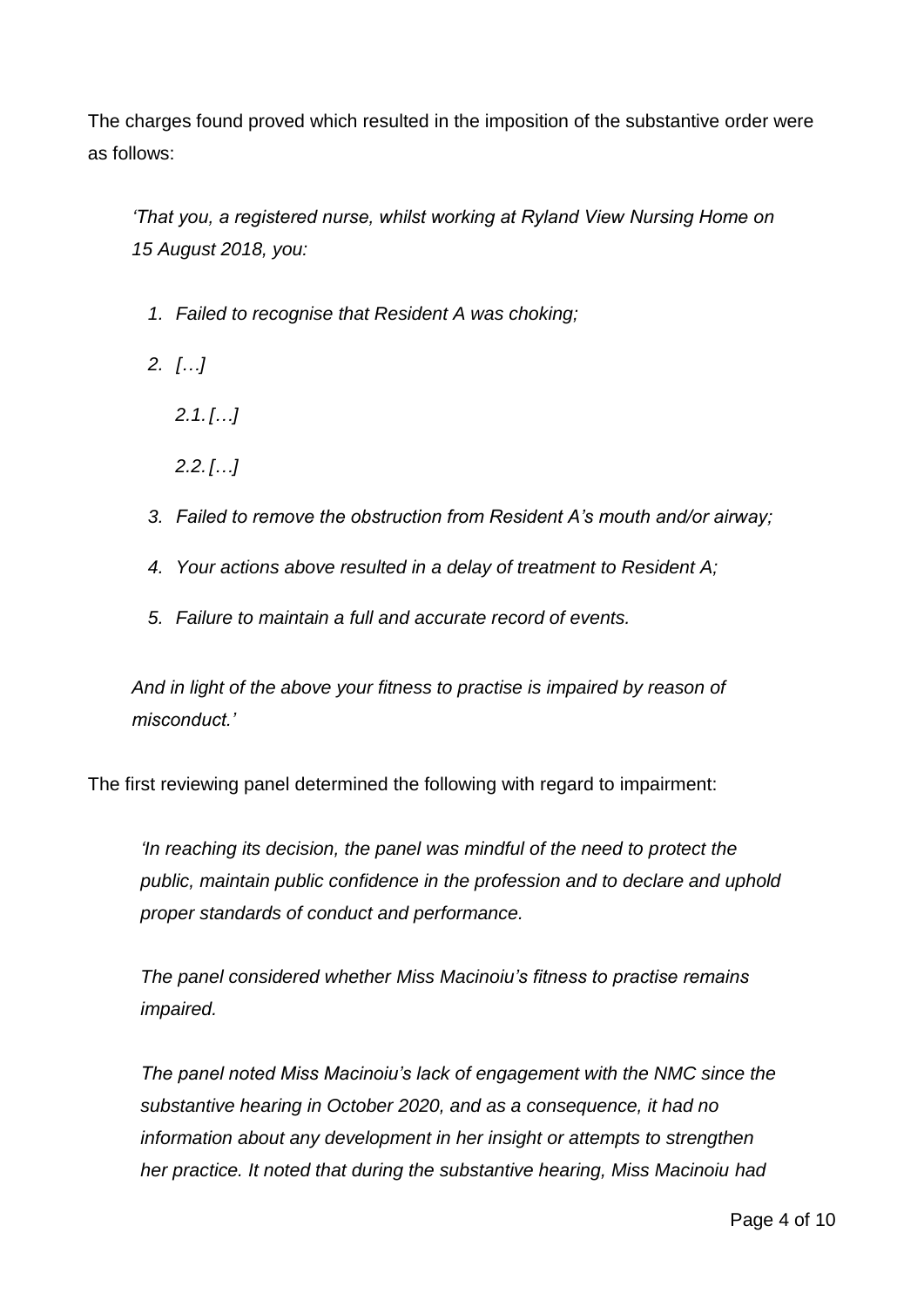The charges found proved which resulted in the imposition of the substantive order were as follows:

*'That you, a registered nurse, whilst working at Ryland View Nursing Home on 15 August 2018, you:*

- *1. Failed to recognise that Resident A was choking;*
- *2. […]*
	- *2.1.[…]*
	- *2.2.[…]*
- *3. Failed to remove the obstruction from Resident A's mouth and/or airway;*
- *4. Your actions above resulted in a delay of treatment to Resident A;*
- *5. Failure to maintain a full and accurate record of events.*

*And in light of the above your fitness to practise is impaired by reason of misconduct.'*

The first reviewing panel determined the following with regard to impairment:

*'In reaching its decision, the panel was mindful of the need to protect the public, maintain public confidence in the profession and to declare and uphold proper standards of conduct and performance.*

*The panel considered whether Miss Macinoiu's fitness to practise remains impaired.* 

*The panel noted Miss Macinoiu's lack of engagement with the NMC since the substantive hearing in October 2020, and as a consequence, it had no information about any development in her insight or attempts to strengthen her practice. It noted that during the substantive hearing, Miss Macinoiu had*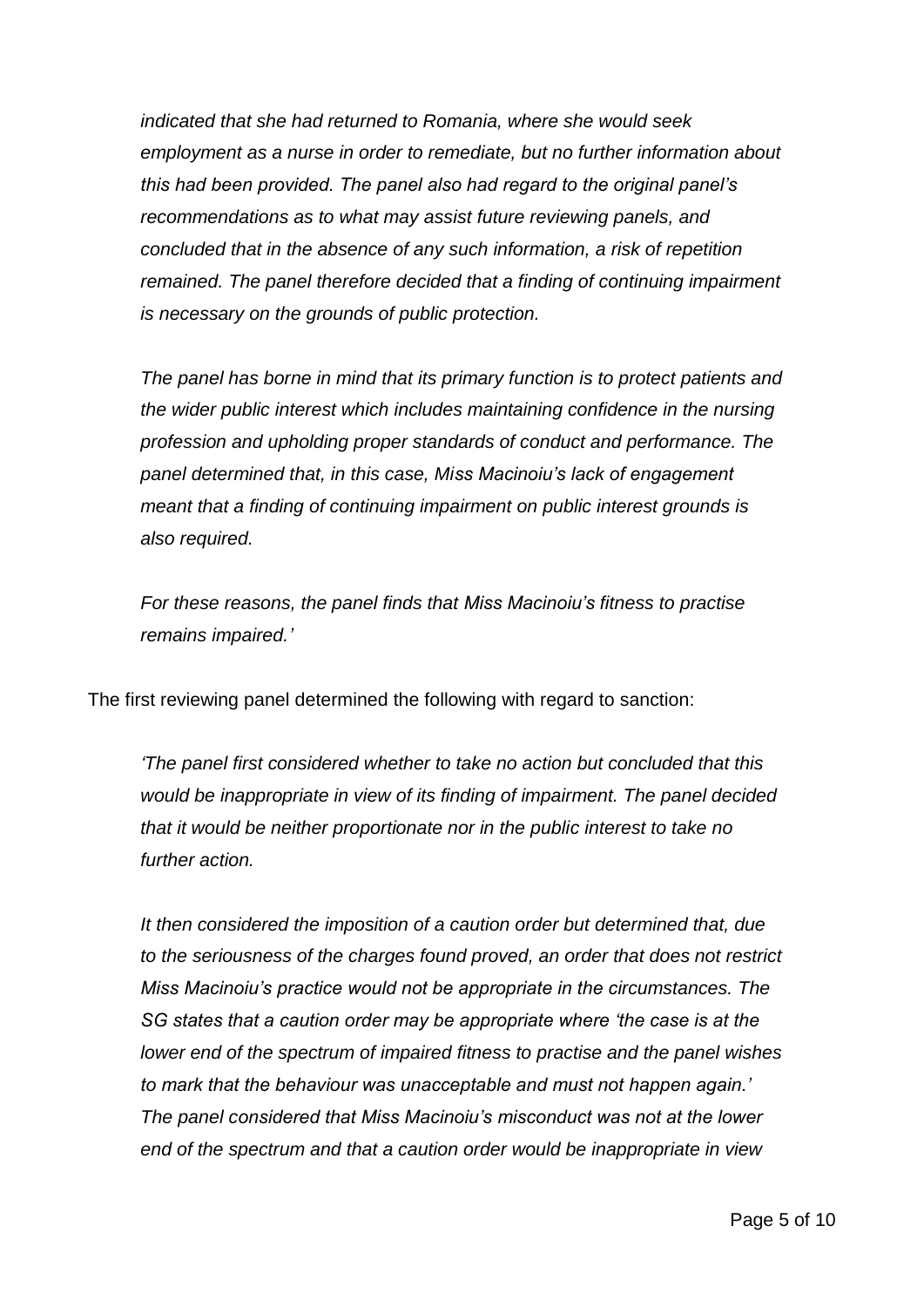*indicated that she had returned to Romania, where she would seek employment as a nurse in order to remediate, but no further information about this had been provided. The panel also had regard to the original panel's recommendations as to what may assist future reviewing panels, and concluded that in the absence of any such information, a risk of repetition remained. The panel therefore decided that a finding of continuing impairment is necessary on the grounds of public protection.* 

*The panel has borne in mind that its primary function is to protect patients and the wider public interest which includes maintaining confidence in the nursing profession and upholding proper standards of conduct and performance. The panel determined that, in this case, Miss Macinoiu's lack of engagement meant that a finding of continuing impairment on public interest grounds is also required.*

*For these reasons, the panel finds that Miss Macinoiu's fitness to practise remains impaired.'*

The first reviewing panel determined the following with regard to sanction:

*'The panel first considered whether to take no action but concluded that this would be inappropriate in view of its finding of impairment. The panel decided that it would be neither proportionate nor in the public interest to take no further action.* 

*It then considered the imposition of a caution order but determined that, due to the seriousness of the charges found proved, an order that does not restrict Miss Macinoiu's practice would not be appropriate in the circumstances. The SG states that a caution order may be appropriate where 'the case is at the lower end of the spectrum of impaired fitness to practise and the panel wishes to mark that the behaviour was unacceptable and must not happen again.' The panel considered that Miss Macinoiu's misconduct was not at the lower end of the spectrum and that a caution order would be inappropriate in view*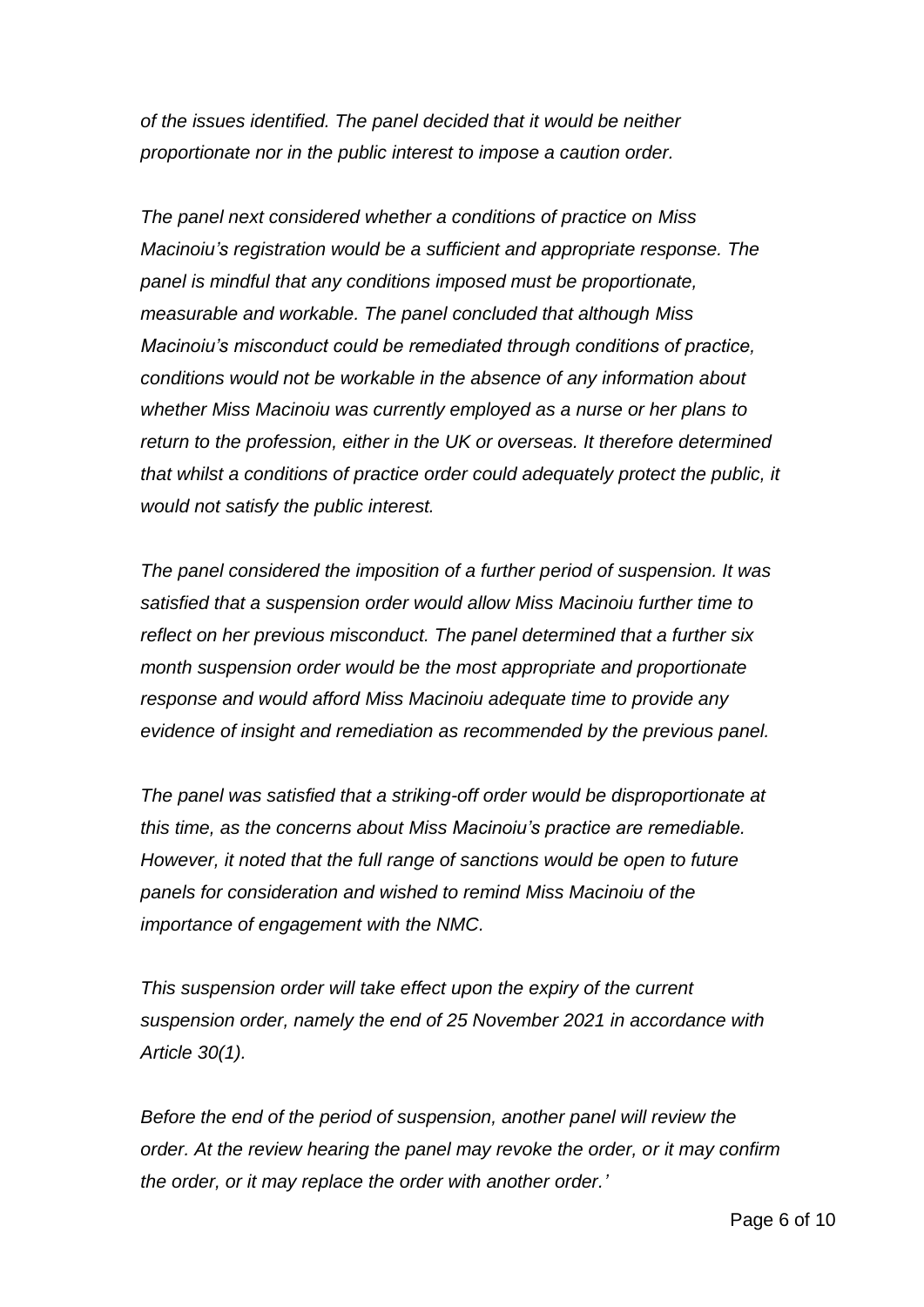*of the issues identified. The panel decided that it would be neither proportionate nor in the public interest to impose a caution order.*

*The panel next considered whether a conditions of practice on Miss Macinoiu's registration would be a sufficient and appropriate response. The panel is mindful that any conditions imposed must be proportionate, measurable and workable. The panel concluded that although Miss Macinoiu's misconduct could be remediated through conditions of practice, conditions would not be workable in the absence of any information about whether Miss Macinoiu was currently employed as a nurse or her plans to return to the profession, either in the UK or overseas. It therefore determined that whilst a conditions of practice order could adequately protect the public, it would not satisfy the public interest.*

*The panel considered the imposition of a further period of suspension. It was satisfied that a suspension order would allow Miss Macinoiu further time to reflect on her previous misconduct. The panel determined that a further six month suspension order would be the most appropriate and proportionate response and would afford Miss Macinoiu adequate time to provide any evidence of insight and remediation as recommended by the previous panel.*

*The panel was satisfied that a striking-off order would be disproportionate at this time, as the concerns about Miss Macinoiu's practice are remediable. However, it noted that the full range of sanctions would be open to future panels for consideration and wished to remind Miss Macinoiu of the importance of engagement with the NMC.*

*This suspension order will take effect upon the expiry of the current suspension order, namely the end of 25 November 2021 in accordance with Article 30(1).*

*Before the end of the period of suspension, another panel will review the order. At the review hearing the panel may revoke the order, or it may confirm the order, or it may replace the order with another order.'*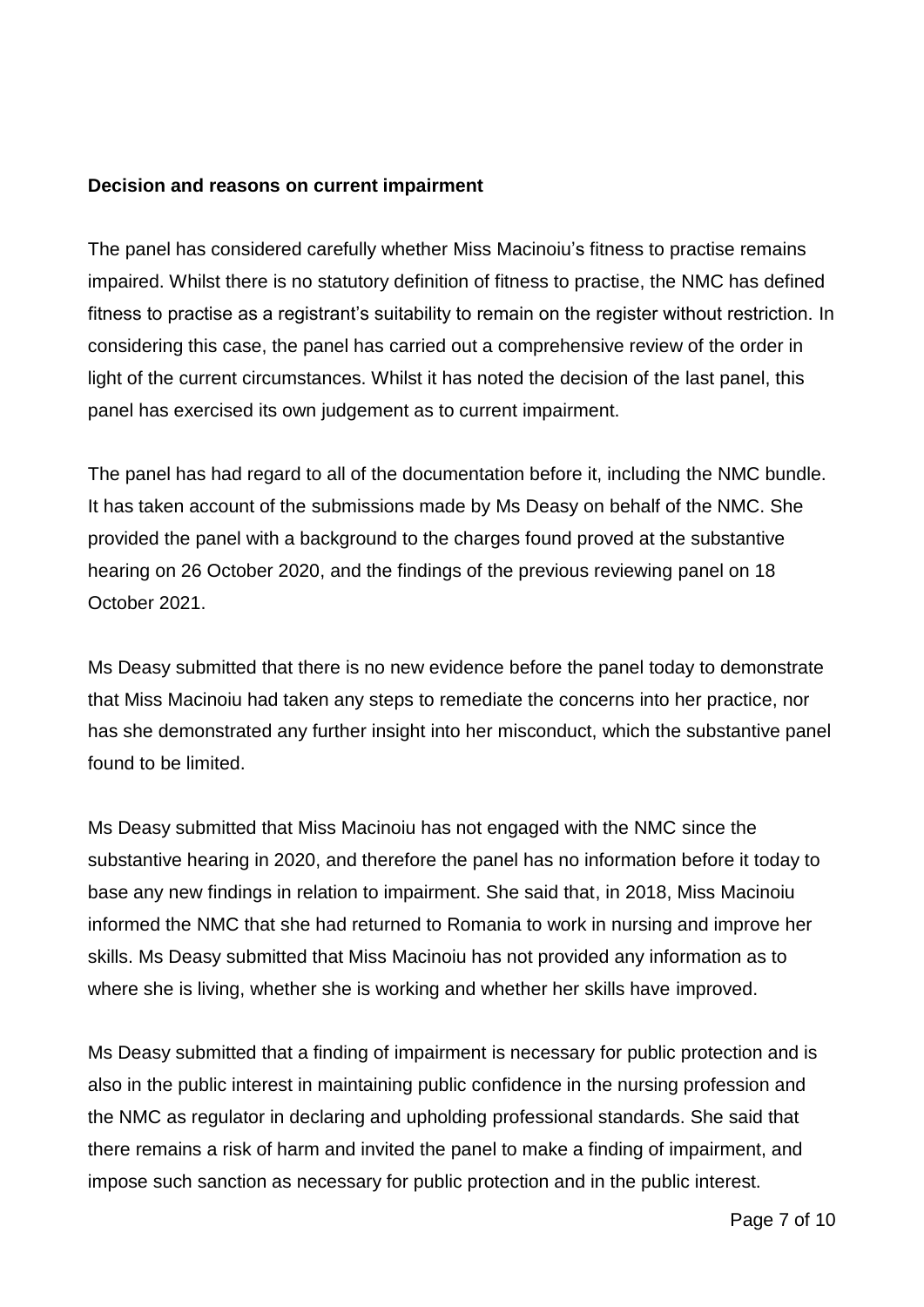### **Decision and reasons on current impairment**

The panel has considered carefully whether Miss Macinoiu's fitness to practise remains impaired. Whilst there is no statutory definition of fitness to practise, the NMC has defined fitness to practise as a registrant's suitability to remain on the register without restriction. In considering this case, the panel has carried out a comprehensive review of the order in light of the current circumstances. Whilst it has noted the decision of the last panel, this panel has exercised its own judgement as to current impairment.

The panel has had regard to all of the documentation before it, including the NMC bundle. It has taken account of the submissions made by Ms Deasy on behalf of the NMC. She provided the panel with a background to the charges found proved at the substantive hearing on 26 October 2020, and the findings of the previous reviewing panel on 18 October 2021.

Ms Deasy submitted that there is no new evidence before the panel today to demonstrate that Miss Macinoiu had taken any steps to remediate the concerns into her practice, nor has she demonstrated any further insight into her misconduct, which the substantive panel found to be limited.

Ms Deasy submitted that Miss Macinoiu has not engaged with the NMC since the substantive hearing in 2020, and therefore the panel has no information before it today to base any new findings in relation to impairment. She said that, in 2018, Miss Macinoiu informed the NMC that she had returned to Romania to work in nursing and improve her skills. Ms Deasy submitted that Miss Macinoiu has not provided any information as to where she is living, whether she is working and whether her skills have improved.

Ms Deasy submitted that a finding of impairment is necessary for public protection and is also in the public interest in maintaining public confidence in the nursing profession and the NMC as regulator in declaring and upholding professional standards. She said that there remains a risk of harm and invited the panel to make a finding of impairment, and impose such sanction as necessary for public protection and in the public interest.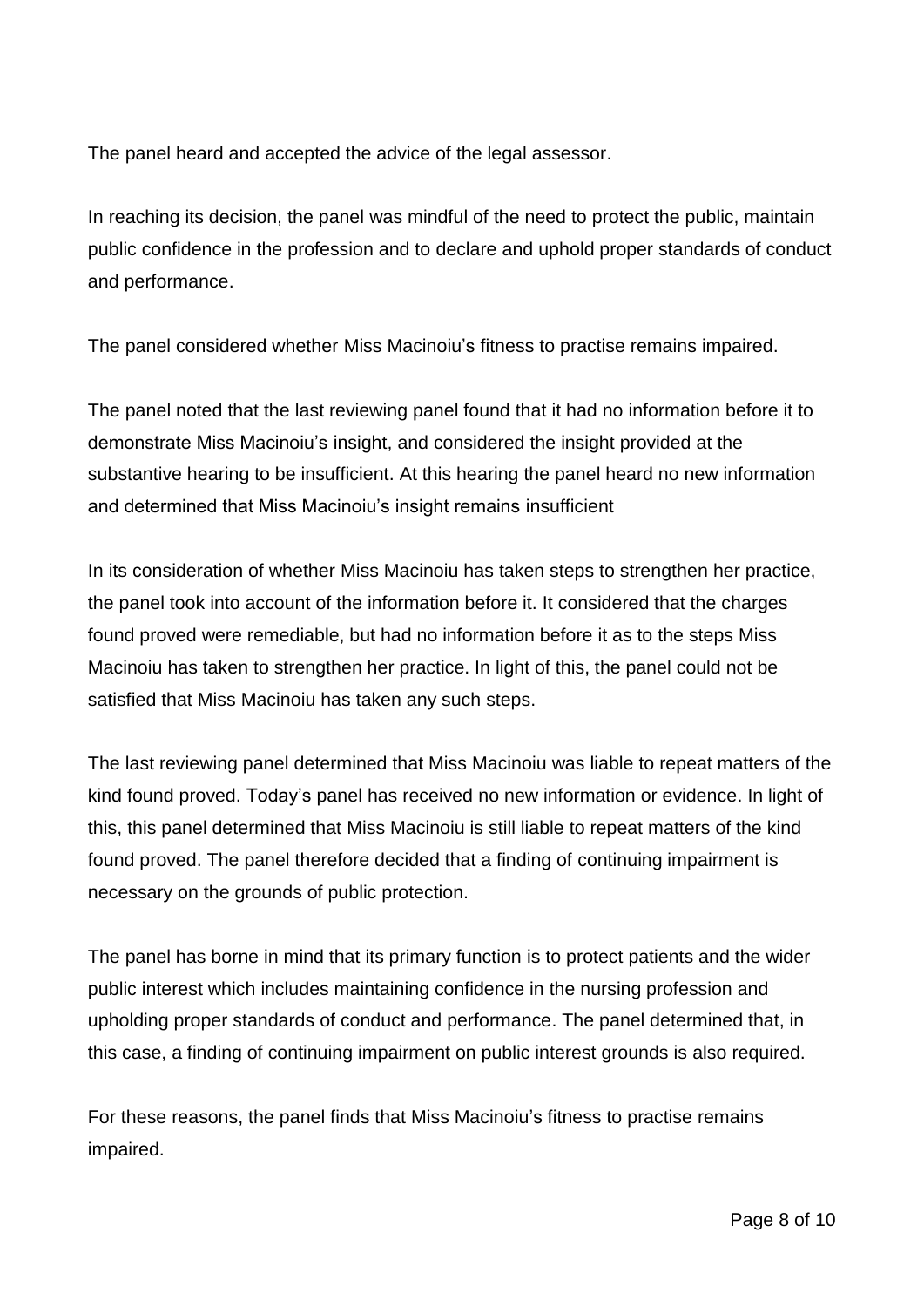The panel heard and accepted the advice of the legal assessor.

In reaching its decision, the panel was mindful of the need to protect the public, maintain public confidence in the profession and to declare and uphold proper standards of conduct and performance.

The panel considered whether Miss Macinoiu's fitness to practise remains impaired.

The panel noted that the last reviewing panel found that it had no information before it to demonstrate Miss Macinoiu's insight, and considered the insight provided at the substantive hearing to be insufficient. At this hearing the panel heard no new information and determined that Miss Macinoiu's insight remains insufficient

In its consideration of whether Miss Macinoiu has taken steps to strengthen her practice, the panel took into account of the information before it. It considered that the charges found proved were remediable, but had no information before it as to the steps Miss Macinoiu has taken to strengthen her practice. In light of this, the panel could not be satisfied that Miss Macinoiu has taken any such steps.

The last reviewing panel determined that Miss Macinoiu was liable to repeat matters of the kind found proved. Today's panel has received no new information or evidence. In light of this, this panel determined that Miss Macinoiu is still liable to repeat matters of the kind found proved. The panel therefore decided that a finding of continuing impairment is necessary on the grounds of public protection.

The panel has borne in mind that its primary function is to protect patients and the wider public interest which includes maintaining confidence in the nursing profession and upholding proper standards of conduct and performance. The panel determined that, in this case, a finding of continuing impairment on public interest grounds is also required.

For these reasons, the panel finds that Miss Macinoiu's fitness to practise remains impaired.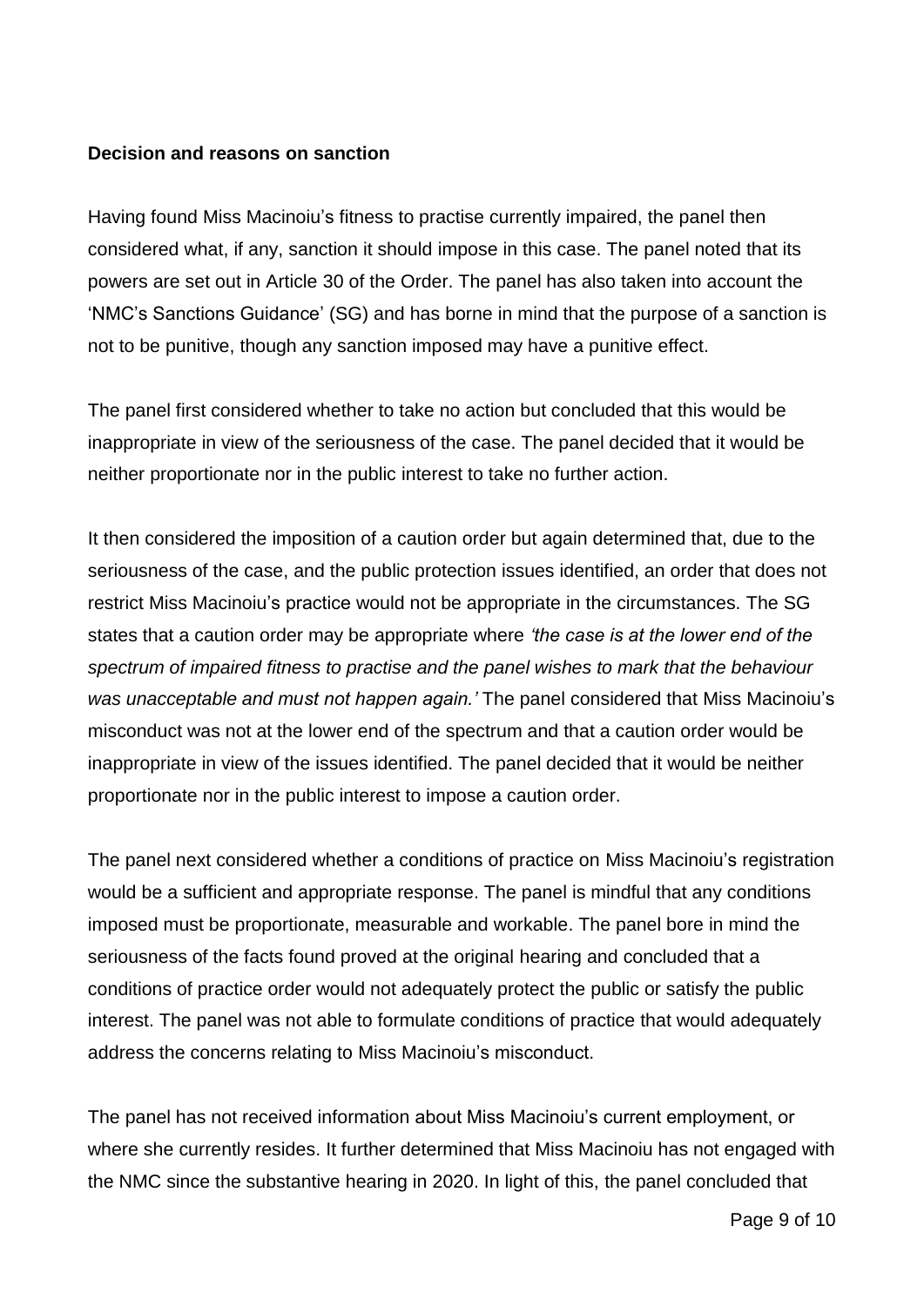### **Decision and reasons on sanction**

Having found Miss Macinoiu's fitness to practise currently impaired, the panel then considered what, if any, sanction it should impose in this case. The panel noted that its powers are set out in Article 30 of the Order. The panel has also taken into account the 'NMC's Sanctions Guidance' (SG) and has borne in mind that the purpose of a sanction is not to be punitive, though any sanction imposed may have a punitive effect.

The panel first considered whether to take no action but concluded that this would be inappropriate in view of the seriousness of the case. The panel decided that it would be neither proportionate nor in the public interest to take no further action.

It then considered the imposition of a caution order but again determined that, due to the seriousness of the case, and the public protection issues identified, an order that does not restrict Miss Macinoiu's practice would not be appropriate in the circumstances. The SG states that a caution order may be appropriate where *'the case is at the lower end of the spectrum of impaired fitness to practise and the panel wishes to mark that the behaviour was unacceptable and must not happen again.'* The panel considered that Miss Macinoiu's misconduct was not at the lower end of the spectrum and that a caution order would be inappropriate in view of the issues identified. The panel decided that it would be neither proportionate nor in the public interest to impose a caution order.

The panel next considered whether a conditions of practice on Miss Macinoiu's registration would be a sufficient and appropriate response. The panel is mindful that any conditions imposed must be proportionate, measurable and workable. The panel bore in mind the seriousness of the facts found proved at the original hearing and concluded that a conditions of practice order would not adequately protect the public or satisfy the public interest. The panel was not able to formulate conditions of practice that would adequately address the concerns relating to Miss Macinoiu's misconduct.

The panel has not received information about Miss Macinoiu's current employment, or where she currently resides. It further determined that Miss Macinoiu has not engaged with the NMC since the substantive hearing in 2020. In light of this, the panel concluded that